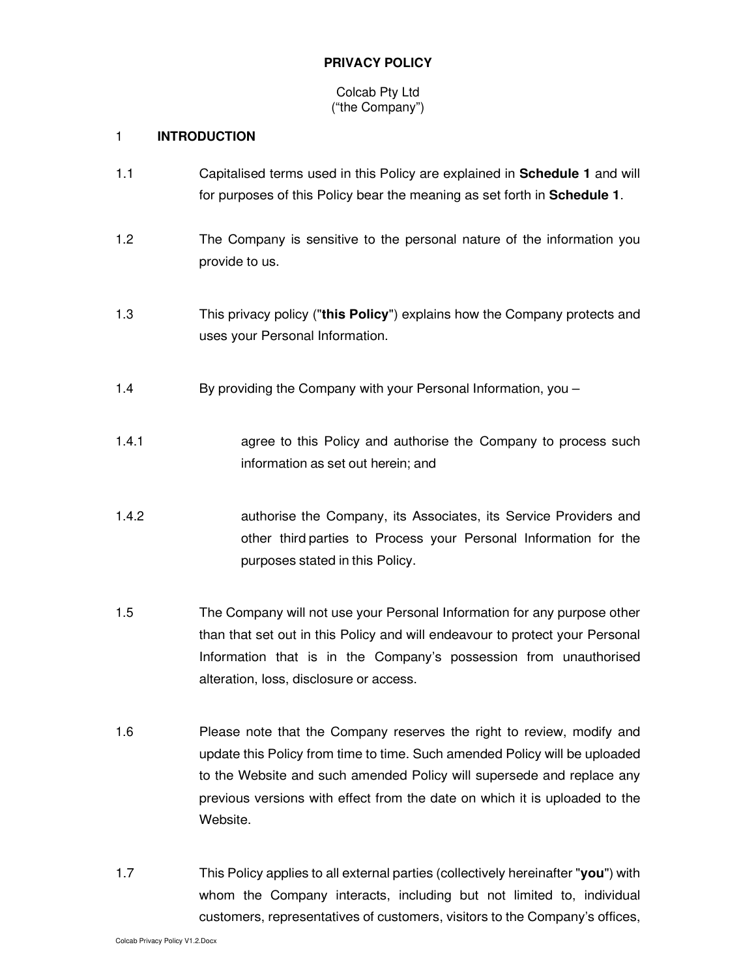## **PRIVACY POLICY**

## Colcab Pty Ltd ("the Company")

# 1 **INTRODUCTION**

- 1.1 Capitalised terms used in this Policy are explained in **Schedule 1** and will for purposes of this Policy bear the meaning as set forth in **Schedule 1**.
- 1.2 The Company is sensitive to the personal nature of the information you provide to us.
- 1.3 This privacy policy ("**this Policy**") explains how the Company protects and uses your Personal Information.
- 1.4 By providing the Company with your Personal Information, you –
- 1.4.1 **agree to this Policy and authorise the Company to process such** information as set out herein; and
- 1.4.2 authorise the Company, its Associates, its Service Providers and other third parties to Process your Personal Information for the purposes stated in this Policy.
- 1.5 The Company will not use your Personal Information for any purpose other than that set out in this Policy and will endeavour to protect your Personal Information that is in the Company's possession from unauthorised alteration, loss, disclosure or access.
- 1.6 Please note that the Company reserves the right to review, modify and update this Policy from time to time. Such amended Policy will be uploaded to the Website and such amended Policy will supersede and replace any previous versions with effect from the date on which it is uploaded to the Website.
- 1.7 This Policy applies to all external parties (collectively hereinafter "**you**") with whom the Company interacts, including but not limited to, individual customers, representatives of customers, visitors to the Company's offices,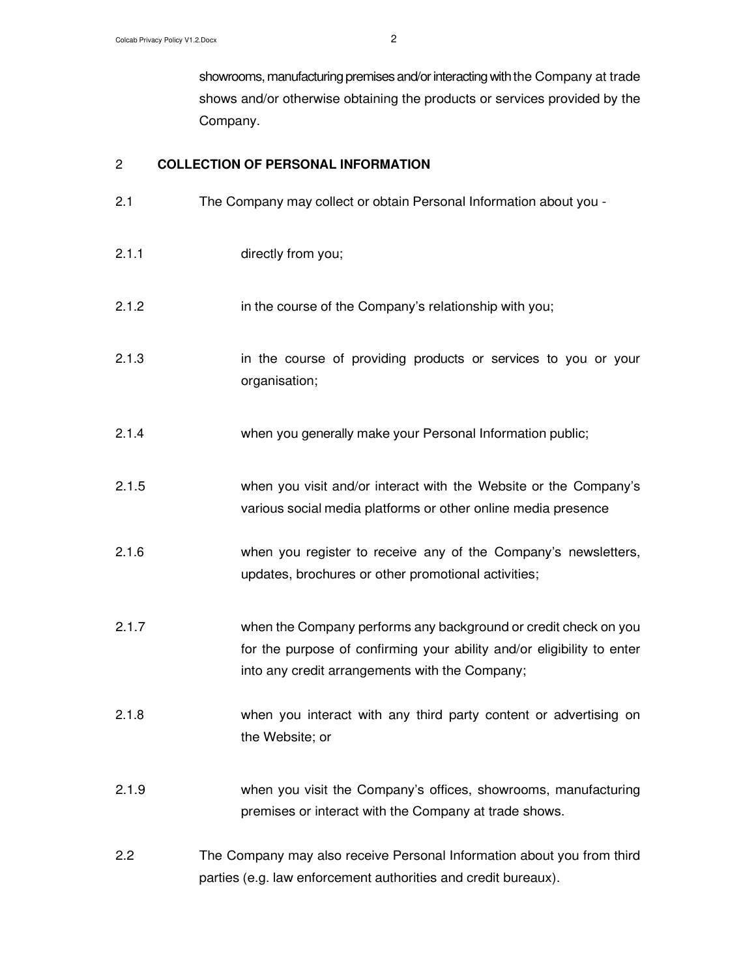showrooms, manufacturing premises and/or interacting with the Company at trade shows and/or otherwise obtaining the products or services provided by the Company.

### 2 **COLLECTION OF PERSONAL INFORMATION**

- 2.1 The Company may collect or obtain Personal Information about you -
- 2.1.1 directly from you;
- 2.1.2 in the course of the Company's relationship with you;
- 2.1.3 in the course of providing products or services to you or your organisation;
- 2.1.4 when you generally make your Personal Information public;
- 2.1.5 when you visit and/or interact with the Website or the Company's various social media platforms or other online media presence
- 2.1.6 when you register to receive any of the Company's newsletters, updates, brochures or other promotional activities;
- 2.1.7 when the Company performs any background or credit check on you for the purpose of confirming your ability and/or eligibility to enter into any credit arrangements with the Company;
- 2.1.8 when you interact with any third party content or advertising on the Website; or
- 2.1.9 when you visit the Company's offices, showrooms, manufacturing premises or interact with the Company at trade shows.
- 2.2 The Company may also receive Personal Information about you from third parties (e.g. law enforcement authorities and credit bureaux).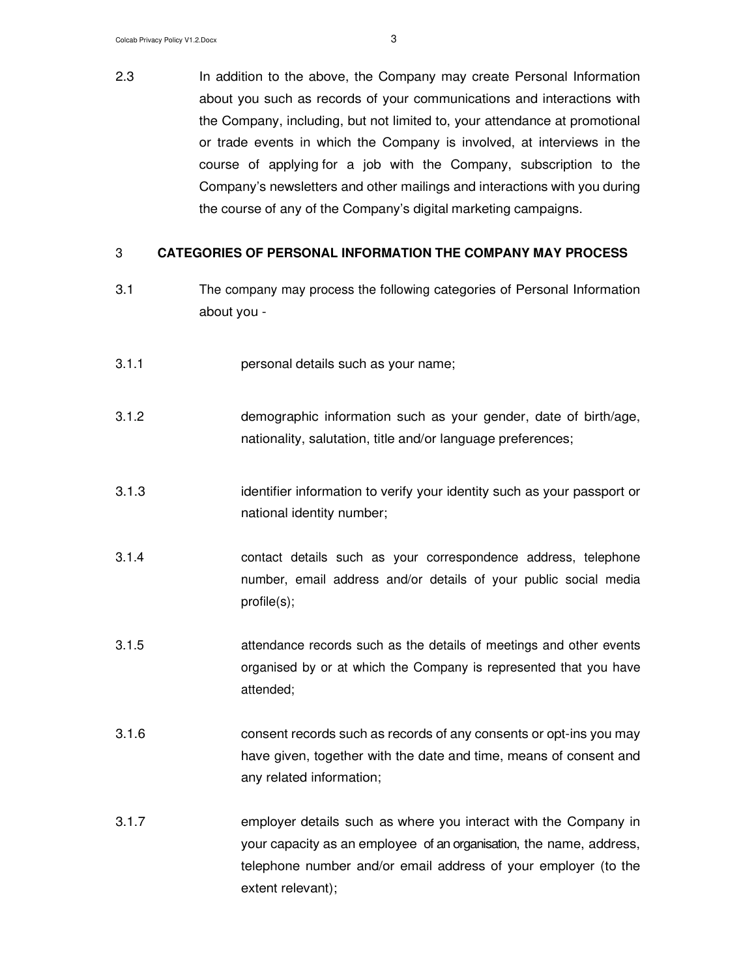2.3 In addition to the above, the Company may create Personal Information about you such as records of your communications and interactions with the Company, including, but not limited to, your attendance at promotional or trade events in which the Company is involved, at interviews in the course of applying for a job with the Company, subscription to the Company's newsletters and other mailings and interactions with you during the course of any of the Company's digital marketing campaigns.

#### 3 **CATEGORIES OF PERSONAL INFORMATION THE COMPANY MAY PROCESS**

- 3.1 The company may process the following categories of Personal Information about you -
- 3.1.1 personal details such as your name;
- 3.1.2 demographic information such as your gender, date of birth/age, nationality, salutation, title and/or language preferences;
- 3.1.3 identifier information to verify your identity such as your passport or national identity number;
- 3.1.4 contact details such as your correspondence address, telephone number, email address and/or details of your public social media profile(s);
- 3.1.5 attendance records such as the details of meetings and other events organised by or at which the Company is represented that you have attended;
- 3.1.6 consent records such as records of any consents or opt-ins you may have given, together with the date and time, means of consent and any related information;
- 3.1.7 employer details such as where you interact with the Company in your capacity as an employee of an organisation, the name, address, telephone number and/or email address of your employer (to the extent relevant);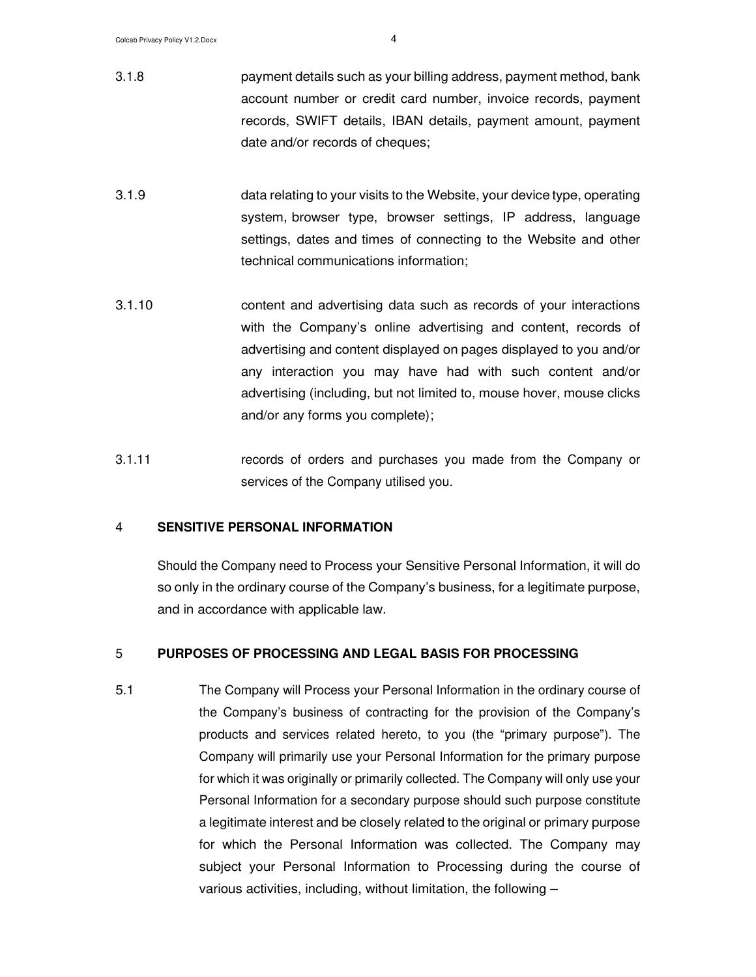- 3.1.8 payment details such as your billing address, payment method, bank account number or credit card number, invoice records, payment records, SWIFT details, IBAN details, payment amount, payment date and/or records of cheques;
- 3.1.9 data relating to your visits to the Website, your device type, operating system, browser type, browser settings, IP address, language settings, dates and times of connecting to the Website and other technical communications information;
- 3.1.10 content and advertising data such as records of your interactions with the Company's online advertising and content, records of advertising and content displayed on pages displayed to you and/or any interaction you may have had with such content and/or advertising (including, but not limited to, mouse hover, mouse clicks and/or any forms you complete);
- 3.1.11 records of orders and purchases you made from the Company or services of the Company utilised you.

#### 4 **SENSITIVE PERSONAL INFORMATION**

Should the Company need to Process your Sensitive Personal Information, it will do so only in the ordinary course of the Company's business, for a legitimate purpose, and in accordance with applicable law.

### 5 **PURPOSES OF PROCESSING AND LEGAL BASIS FOR PROCESSING**

5.1 The Company will Process your Personal Information in the ordinary course of the Company's business of contracting for the provision of the Company's products and services related hereto, to you (the "primary purpose"). The Company will primarily use your Personal Information for the primary purpose for which it was originally or primarily collected. The Company will only use your Personal Information for a secondary purpose should such purpose constitute a legitimate interest and be closely related to the original or primary purpose for which the Personal Information was collected. The Company may subject your Personal Information to Processing during the course of various activities, including, without limitation, the following –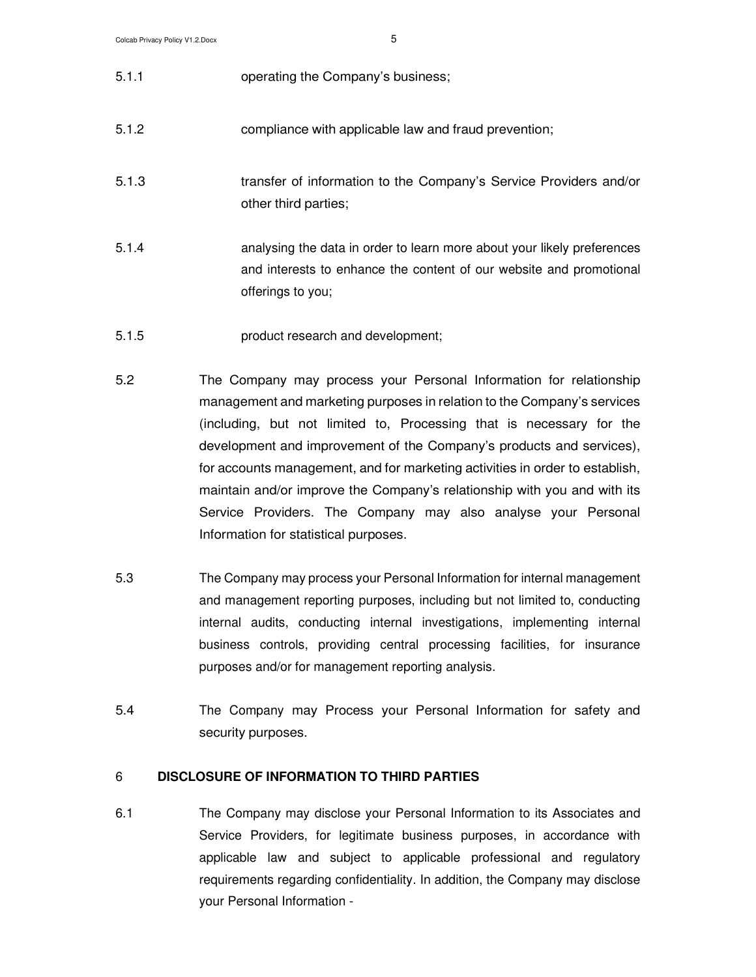| 5.1.1 | operating the Company's business;                                                                                                                                   |
|-------|---------------------------------------------------------------------------------------------------------------------------------------------------------------------|
| 5.1.2 | compliance with applicable law and fraud prevention;                                                                                                                |
| 5.1.3 | transfer of information to the Company's Service Providers and/or<br>other third parties;                                                                           |
| 5.1.4 | analysing the data in order to learn more about your likely preferences<br>and interests to enhance the content of our website and promotional<br>offerings to you; |
| 5.1.5 | product research and development;                                                                                                                                   |

- 5.2 The Company may process your Personal Information for relationship management and marketing purposes in relation to the Company's services (including, but not limited to, Processing that is necessary for the development and improvement of the Company's products and services), for accounts management, and for marketing activities in order to establish, maintain and/or improve the Company's relationship with you and with its Service Providers. The Company may also analyse your Personal Information for statistical purposes.
- 5.3 The Company may process your Personal Information for internal management and management reporting purposes, including but not limited to, conducting internal audits, conducting internal investigations, implementing internal business controls, providing central processing facilities, for insurance purposes and/or for management reporting analysis.
- 5.4 The Company may Process your Personal Information for safety and security purposes.

## 6 **DISCLOSURE OF INFORMATION TO THIRD PARTIES**

6.1 The Company may disclose your Personal Information to its Associates and Service Providers, for legitimate business purposes, in accordance with applicable law and subject to applicable professional and regulatory requirements regarding confidentiality. In addition, the Company may disclose your Personal Information -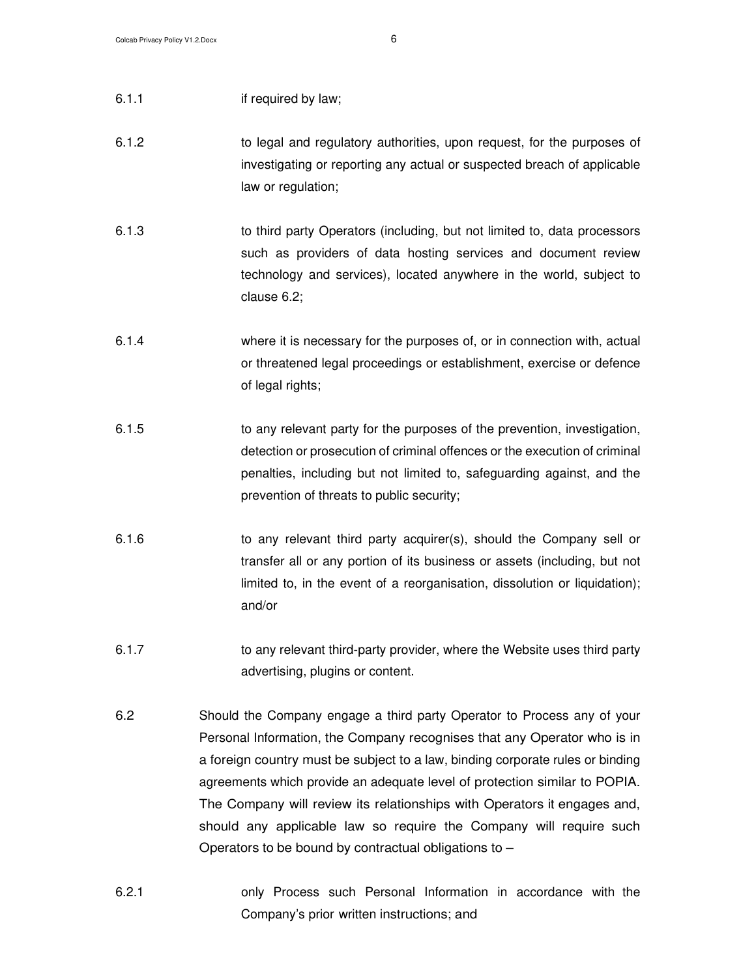- 6.1.1 if required by law;
- 6.1.2 to legal and regulatory authorities, upon request, for the purposes of investigating or reporting any actual or suspected breach of applicable law or regulation;
- 6.1.3 to third party Operators (including, but not limited to, data processors such as providers of data hosting services and document review technology and services), located anywhere in the world, subject to clause 6.2;
- 6.1.4 where it is necessary for the purposes of, or in connection with, actual or threatened legal proceedings or establishment, exercise or defence of legal rights;
- 6.1.5 to any relevant party for the purposes of the prevention, investigation, detection or prosecution of criminal offences or the execution of criminal penalties, including but not limited to, safeguarding against, and the prevention of threats to public security;
- 6.1.6 to any relevant third party acquirer(s), should the Company sell or transfer all or any portion of its business or assets (including, but not limited to, in the event of a reorganisation, dissolution or liquidation); and/or
- 6.1.7 **to any relevant third-party provider, where the Website uses third party** advertising, plugins or content.
- 6.2 Should the Company engage a third party Operator to Process any of your Personal Information, the Company recognises that any Operator who is in a foreign country must be subject to a law, binding corporate rules or binding agreements which provide an adequate level of protection similar to POPIA. The Company will review its relationships with Operators it engages and, should any applicable law so require the Company will require such Operators to be bound by contractual obligations to  $-$
- 6.2.1 only Process such Personal Information in accordance with the Company's prior written instructions; and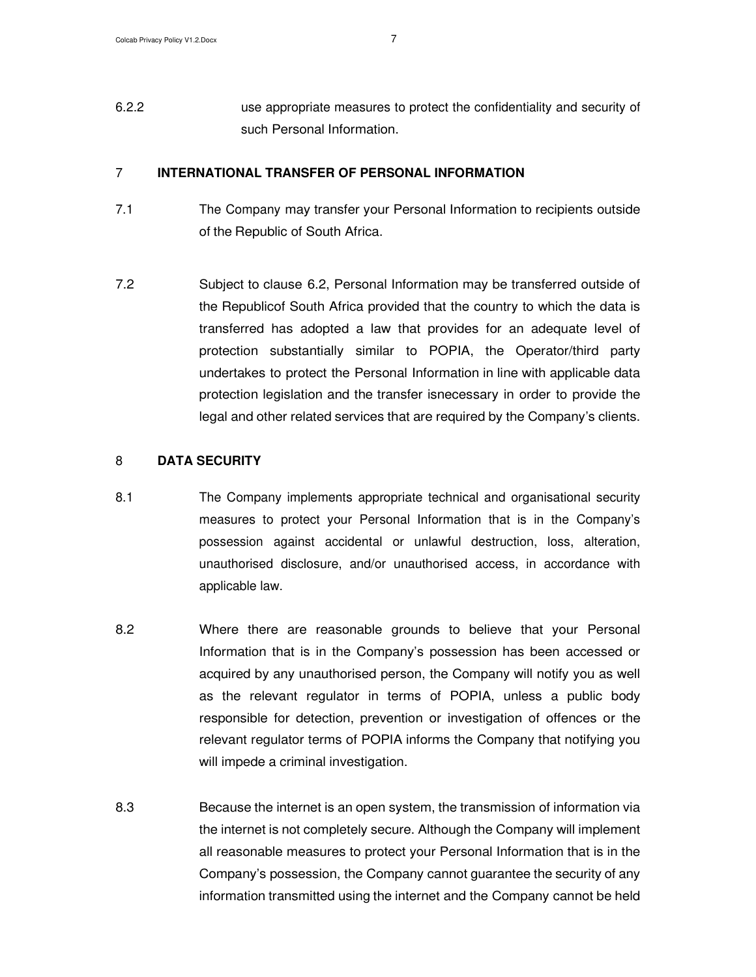6.2.2 use appropriate measures to protect the confidentiality and security of such Personal Information.

#### 7 **INTERNATIONAL TRANSFER OF PERSONAL INFORMATION**

- 7.1 The Company may transfer your Personal Information to recipients outside of the Republic of South Africa.
- 7.2 Subject to clause 6.2, Personal Information may be transferred outside of the Republic of South Africa provided that the country to which the data is transferred has adopted a law that provides for an adequate level of protection substantially similar to POPIA, the Operator/third party undertakes to protect the Personal Information in line with applicable data protection legislation and the transfer is necessary in order to provide the legal and other related services that are required by the Company's clients.

### 8 **DATA SECURITY**

- 8.1 The Company implements appropriate technical and organisational security measures to protect your Personal Information that is in the Company's possession against accidental or unlawful destruction, loss, alteration, unauthorised disclosure, and/or unauthorised access, in accordance with applicable law.
- 8.2 Where there are reasonable grounds to believe that your Personal Information that is in the Company's possession has been accessed or acquired by any unauthorised person, the Company will notify you as well as the relevant regulator in terms of POPIA, unless a public body responsible for detection, prevention or investigation of offences or the relevant regulator terms of POPIA informs the Company that notifying you will impede a criminal investigation.
- 8.3 Because the internet is an open system, the transmission of information via the internet is not completely secure. Although the Company will implement all reasonable measures to protect your Personal Information that is in the Company's possession, the Company cannot guarantee the security of any information transmitted using the internet and the Company cannot be held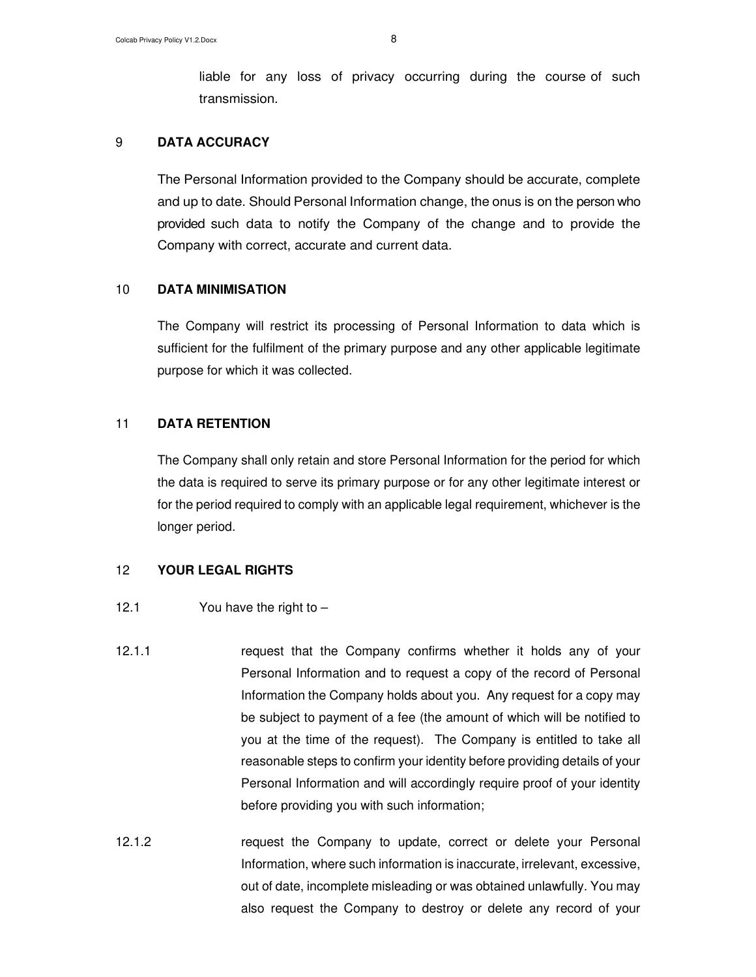liable for any loss of privacy occurring during the course of such transmission.

## 9 **DATA ACCURACY**

The Personal Information provided to the Company should be accurate, complete and up to date. Should Personal Information change, the onus is on the person who provided such data to notify the Company of the change and to provide the Company with correct, accurate and current data.

#### 10 **DATA MINIMISATION**

The Company will restrict its processing of Personal Information to data which is sufficient for the fulfilment of the primary purpose and any other applicable legitimate purpose for which it was collected.

#### 11 **DATA RETENTION**

The Company shall only retain and store Personal Information for the period for which the data is required to serve its primary purpose or for any other legitimate interest or for the period required to comply with an applicable legal requirement, whichever is the longer period.

## 12 **YOUR LEGAL RIGHTS**

#### 12.1 You have the right to –

- 12.1.1 request that the Company confirms whether it holds any of your Personal Information and to request a copy of the record of Personal Information the Company holds about you. Any request for a copy may be subject to payment of a fee (the amount of which will be notified to you at the time of the request). The Company is entitled to take all reasonable steps to confirm your identity before providing details of your Personal Information and will accordingly require proof of your identity before providing you with such information;
- 12.1.2 request the Company to update, correct or delete your Personal Information, where such information is inaccurate, irrelevant, excessive, out of date, incomplete misleading or was obtained unlawfully. You may also request the Company to destroy or delete any record of your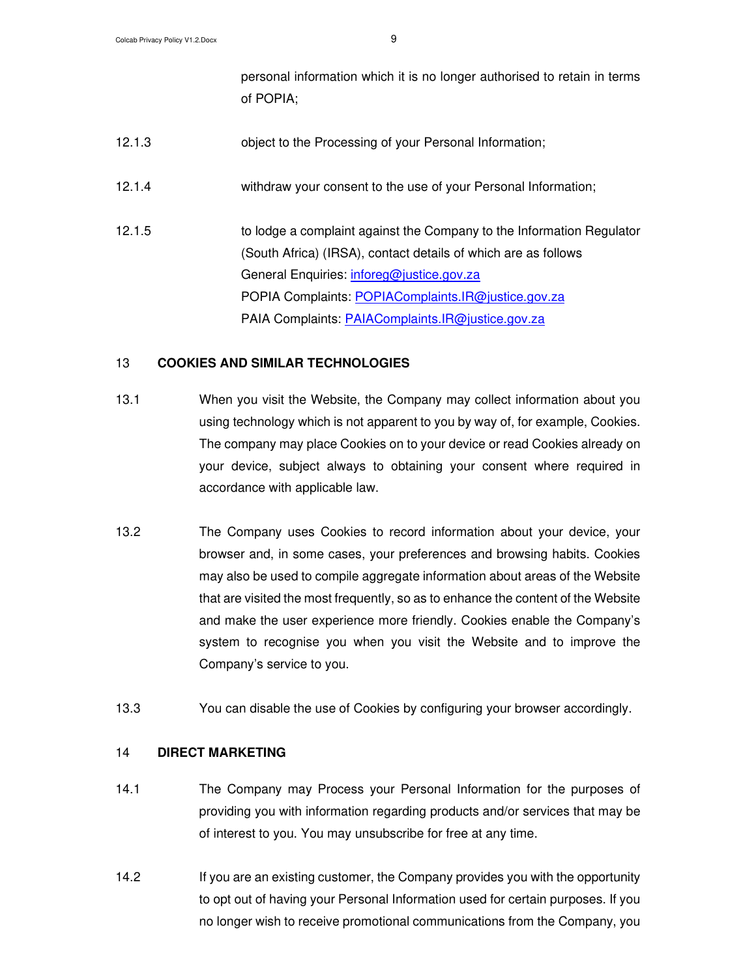personal information which it is no longer authorised to retain in terms of POPIA;

- 12.1.3 object to the Processing of your Personal Information;
- 12.1.4 withdraw your consent to the use of your Personal Information;
- 12.1.5 to lodge a complaint against the Company to the Information Regulator (South Africa) (IRSA), contact details of which are as follows General Enquiries: inforeg@justice.gov.za POPIA Complaints: POPIAComplaints.IR@justice.gov.za PAIA Complaints: PAIAComplaints.IR@justice.gov.za

# 13 **COOKIES AND SIMILAR TECHNOLOGIES**

- 13.1 When you visit the Website, the Company may collect information about you using technology which is not apparent to you by way of, for example, Cookies. The company may place Cookies on to your device or read Cookies already on your device, subject always to obtaining your consent where required in accordance with applicable law.
- 13.2 The Company uses Cookies to record information about your device, your browser and, in some cases, your preferences and browsing habits. Cookies may also be used to compile aggregate information about areas of the Website that are visited the most frequently, so as to enhance the content of the Website and make the user experience more friendly. Cookies enable the Company's system to recognise you when you visit the Website and to improve the Company's service to you.
- 13.3 You can disable the use of Cookies by configuring your browser accordingly.

## 14 **DIRECT MARKETING**

- 14.1 The Company may Process your Personal Information for the purposes of providing you with information regarding products and/or services that may be of interest to you. You may unsubscribe for free at any time.
- 14.2 If you are an existing customer, the Company provides you with the opportunity to opt out of having your Personal Information used for certain purposes. If you no longer wish to receive promotional communications from the Company, you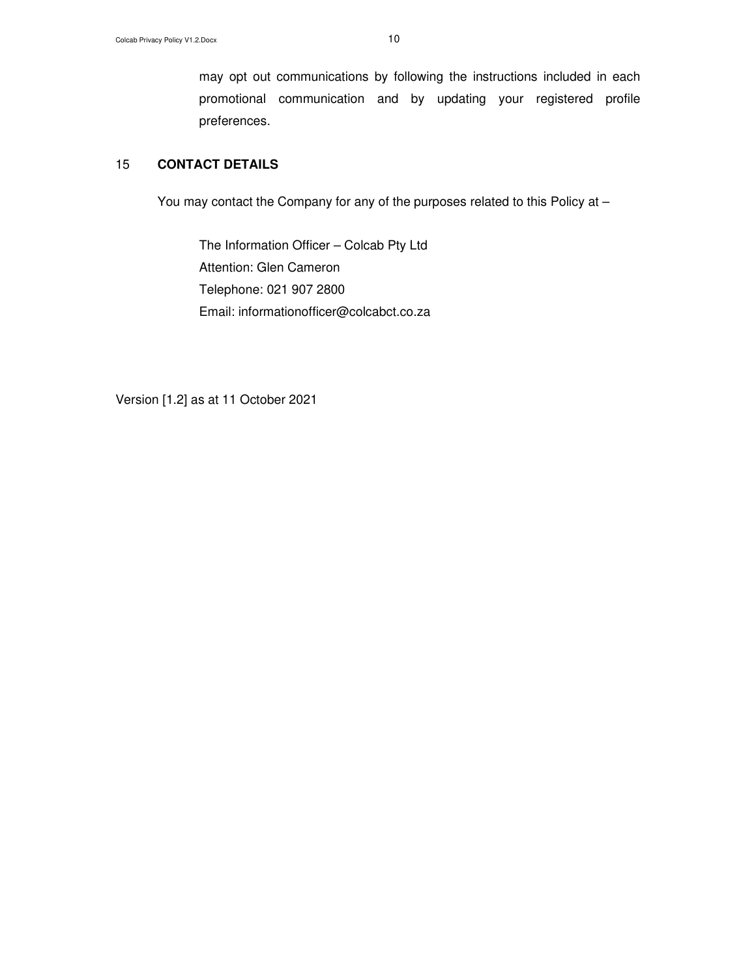may opt out communications by following the instructions included in each promotional communication and by updating your registered profile preferences.

# 15 **CONTACT DETAILS**

You may contact the Company for any of the purposes related to this Policy at –

The Information Officer – Colcab Pty Ltd Attention: Glen Cameron Telephone: 021 907 2800 Email: informationofficer@colcabct.co.za

Version [1.2] as at 11 October 2021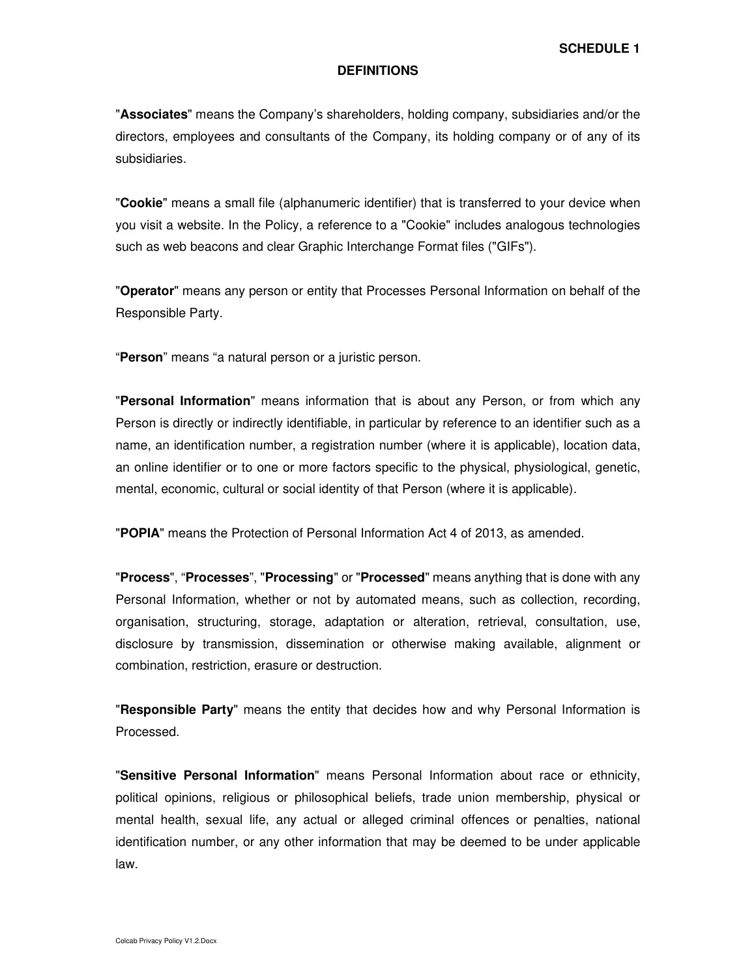#### **DEFINITIONS**

"**Associates**" means the Company's shareholders, holding company, subsidiaries and/or the directors, employees and consultants of the Company, its holding company or of any of its subsidiaries.

"**Cookie**" means a small file (alphanumeric identifier) that is transferred to your device when you visit a website. In the Policy, a reference to a "Cookie" includes analogous technologies such as web beacons and clear Graphic Interchange Format files ("GIFs").

"**Operator**" means any person or entity that Processes Personal Information on behalf of the Responsible Party.

"**Person**" means "a natural person or a juristic person.

"**Personal Information**" means information that is about any Person, or from which any Person is directly or indirectly identifiable, in particular by reference to an identifier such as a name, an identification number, a registration number (where it is applicable), location data, an online identifier or to one or more factors specific to the physical, physiological, genetic, mental, economic, cultural or social identity of that Person (where it is applicable).

"**POPIA**" means the Protection of Personal Information Act 4 of 2013, as amended.

"**Process**", "**Processes**", "**Processing**" or "**Processed**" means anything that is done with any Personal Information, whether or not by automated means, such as collection, recording, organisation, structuring, storage, adaptation or alteration, retrieval, consultation, use, disclosure by transmission, dissemination or otherwise making available, alignment or combination, restriction, erasure or destruction.

"**Responsible Party**" means the entity that decides how and why Personal Information is Processed.

"**Sensitive Personal Information**" means Personal Information about race or ethnicity, political opinions, religious or philosophical beliefs, trade union membership, physical or mental health, sexual life, any actual or alleged criminal offences or penalties, national identification number, or any other information that may be deemed to be under applicable law.